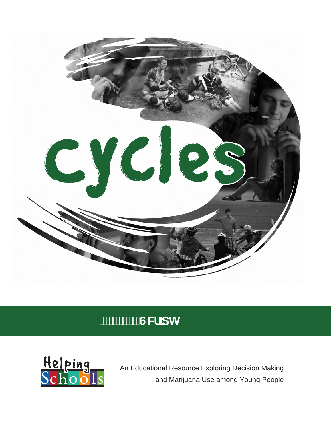

# **GW**]dh



An Educational Resource Exploring Decision Making and Marijuana Use among Young People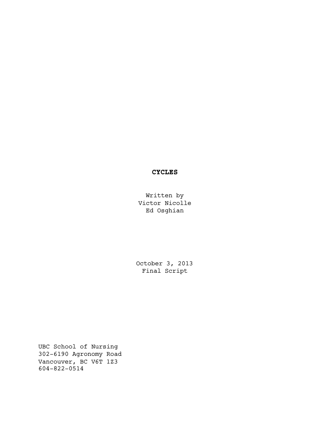## **CYCLES**

Written by Victor Nicolle Ed Osghian

October 3, 2013 Final Script

UBC School of Nursing 302-6190 Agronomy Road Vancouver, BC V6T 1Z3 604-822-0514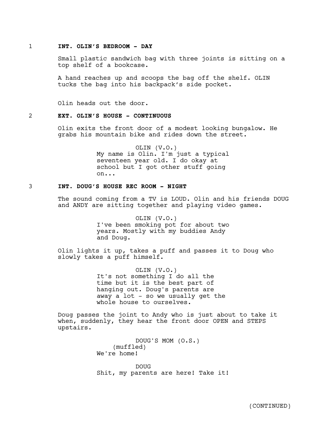#### 1 **INT. OLIN'S BEDROOM - DAY**

Small plastic sandwich bag with three joints is sitting on a top shelf of a bookcase.

A hand reaches up and scoops the bag off the shelf. OLIN tucks the bag into his backpack's side pocket.

Olin heads out the door.

## 2 **EXT. OLIN'S HOUSE - CONTINUOUS**

Olin exits the front door of a modest looking bungalow. He grabs his mountain bike and rides down the street.

> OLIN (V.O.) My name is Olin. I'm just a typical seventeen year old. I do okay at school but I got other stuff going on...

## 3 **INT. DOUG'S HOUSE REC ROOM - NIGHT**

The sound coming from a TV is LOUD. Olin and his friends DOUG and ANDY are sitting together and playing video games.

> OLIN (V.O.) I've been smoking pot for about two years. Mostly with my buddies Andy and Doug.

Olin lights it up, takes a puff and passes it to Doug who slowly takes a puff himself.

> OLIN (V.O.) It's not something I do all the time but it is the best part of hanging out. Doug's parents are away a lot - so we usually get the whole house to ourselves.

Doug passes the joint to Andy who is just about to take it when, suddenly, they hear the front door OPEN and STEPS upstairs.

> DOUG'S MOM (O.S.) (muffled) We're home!

DOUG Shit, my parents are here! Take it!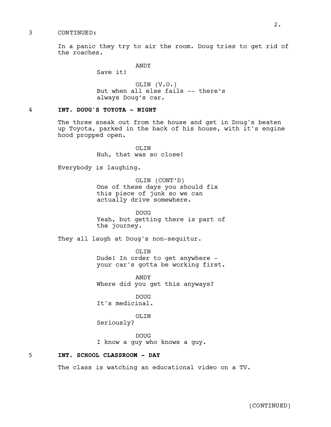#### 3 CONTINUED:

In a panic they try to air the room. Doug tries to get rid of the roaches.

ANDY

Save it!

OLIN (V.O.) But when all else fails -- there's always Doug's car.

## 4 **INT. DOUG'S TOYOTA - NIGHT**

The three sneak out from the house and get in Doug's beaten up Toyota, parked in the back of his house, with it's engine hood propped open.

> OLIN Huh, that was so close!

Everybody is laughing.

OLIN (CONT'D) One of these days you should fix this piece of junk so we can actually drive somewhere.

DOUG Yeah, but getting there is part of the journey.

They all laugh at Doug's non-sequitur.

OLIN Dude! In order to get anywhere your car's gotta be working first.

ANDY Where did you get this anyways?

DOUG It's medicinal.

OLIN

Seriously?

DOUG I know a guy who knows a guy.

5 **INT. SCHOOL CLASSROOM - DAY**

The class is watching an educational video on a TV.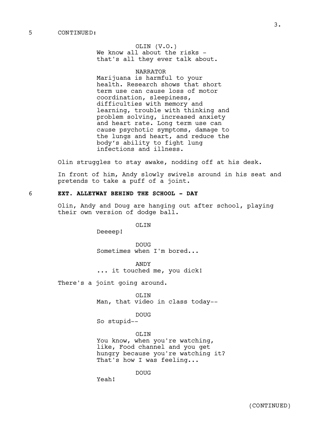OLIN (V.O.) We know all about the risks that's all they ever talk about.

## NARRATOR

Marijuana is harmful to your health. Research shows that short term use can cause loss of motor coordination, sleepiness, difficulties with memory and learning, trouble with thinking and problem solving, increased anxiety and heart rate. Long term use can cause psychotic symptoms, damage to the lungs and heart, and reduce the body's ability to fight lung infections and illness.

Olin struggles to stay awake, nodding off at his desk.

In front of him, Andy slowly swivels around in his seat and pretends to take a puff of a joint.

## 6 **EXT. ALLEYWAY BEHIND THE SCHOOL - DAY**

Olin, Andy and Doug are hanging out after school, playing their own version of dodge ball.

OLIN

Deeeep!

DOUG Sometimes when I'm bored...

ANDY ... it touched me, you dick!

There's a joint going around.

OLIN Man, that video in class today--

DOUG

So stupid--

OLIN You know, when you're watching, like, Food channel and you get hungry because you're watching it? That's how I was feeling...

DOUG

Yeah!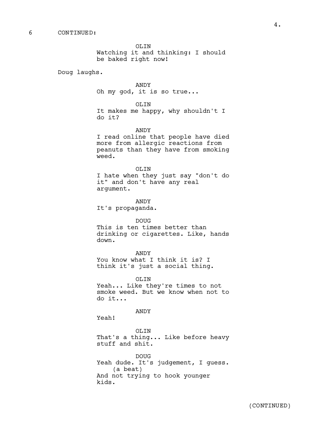OLIN Watching it and thinking: I should be baked right now!

Doug laughs.

ANDY Oh my god, it is so true...

OLIN

It makes me happy, why shouldn't I do it?

ANDY

I read online that people have died more from allergic reactions from peanuts than they have from smoking weed.

OLIN

I hate when they just say "don't do it" and don't have any real argument.

ANDY

It's propaganda.

DOUG

This is ten times better than drinking or cigarettes. Like, hands down.

ANDY

You know what I think it is? I think it's just a social thing.

OLIN Yeah... Like they're times to not smoke weed. But we know when not to do it...

ANDY

Yeah!

OLIN That's a thing... Like before heavy stuff and shit.

DOUG Yeah dude. It's judgement, I guess. (a beat) And not trying to hook younger kids.

4.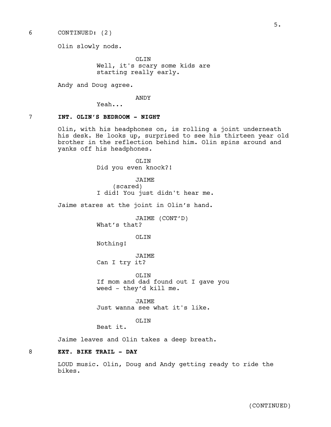6 CONTINUED: (2)

Olin slowly nods.

OLIN Well, it's scary some kids are starting really early.

Andy and Doug agree.

ANDY

Yeah...

## 7 **INT. OLIN'S BEDROOM - NIGHT**

Olin, with his headphones on, is rolling a joint underneath his desk. He looks up, surprised to see his thirteen year old brother in the reflection behind him. Olin spins around and yanks off his headphones.

> OLIN Did you even knock?!

JAIME (scared) I did! You just didn't hear me.

Jaime stares at the joint in Olin's hand.

JAIME (CONT'D) What's that?

OLIN

Nothing!

JAIME Can I try it?

OLIN If mom and dad found out I gave you weed - they'd kill me.

JAIME Just wanna see what it's like.

OLIN

Beat it.

Jaime leaves and Olin takes a deep breath.

## 8 **EXT. BIKE TRAIL - DAY**

LOUD music. Olin, Doug and Andy getting ready to ride the bikes.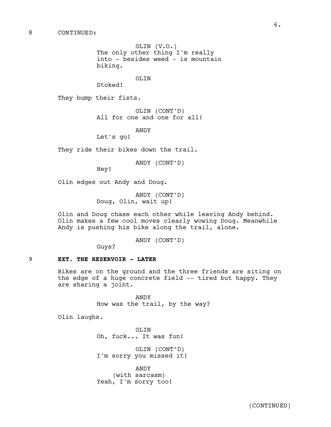OLIN (V.O.) The only other thing I'm really into - besides weed - is mountain biking.

OLIN

They bump their fists.

Stoked!

OLIN (CONT'D) All for one and one for all!

ANDY

Let's go!

They ride their bikes down the trail.

ANDY (CONT'D)

Hey!

Olin edges out Andy and Doug.

ANDY (CONT'D) Doug, Olin, wait up!

Olin and Doug chase each other while leaving Andy behind. Olin makes a few cool moves clearly wowing Doug. Meanwhile Andy is pushing his bike along the trail, alone.

ANDY (CONT'D)

Guys?

#### 9 **EXT. THE RESERVOIR - LATER**

Bikes are on the ground and the three friends are siting on the edge of a huge concrete field -- tired but happy. They are sharing a joint.

> ANDY How was the trail, by the way?

Olin laughs.

OLIN Oh, fuck... It was fun!

OLIN (CONT'D) I'm sorry you missed it!

ANDY (with sarcasm) Yeah, I'm sorry too!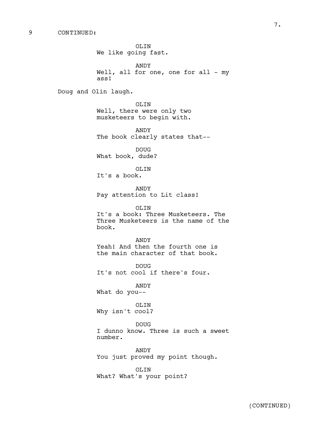OLIN We like going fast. ANDY Well, all for one, one for all - my ass! Doug and Olin laugh. OLIN Well, there were only two musketeers to begin with. ANDY The book clearly states that-- DOUG What book, dude? OLIN It's a book. ANDY Pay attention to Lit class! OLIN It's a book: Three Musketeers. The Three Musketeers is the name of the book. ANDY Yeah! And then the fourth one is the main character of that book. DOUG It's not cool if there's four. ANDY What do you-- OLIN Why isn't cool? DOUG I dunno know. Three is such a sweet number. ANDY You just proved my point though.

> OLIN What? What's your point?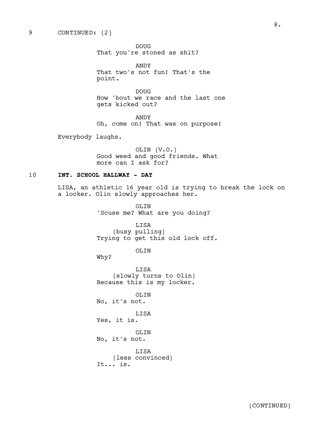#### 9 CONTINUED: (2)

DOUG That you're stoned as shit?

ANDY That two's not fun! That's the point.

DOUG How 'bout we race and the last one gets kicked out?

ANDY Oh, come on! That was on purpose!

Everybody laughs.

OLIN (V.O.) Good weed and good friends. What more can I ask for?

## 10 **INT. SCHOOL HALLWAY - DAY**

LISA, an athletic 16 year old is trying to break the lock on a locker. Olin slowly approaches her.

> OLIN 'Scuse me? What are you doing?

LISA (busy pulling) Trying to get this old lock off.

OLIN

Why?

LISA (slowly turns to Olin) Because this is my locker.

OLIN No, it's not.

LISA

Yes, it is.

OLIN No, it's not.

LISA (less convinced) It... is.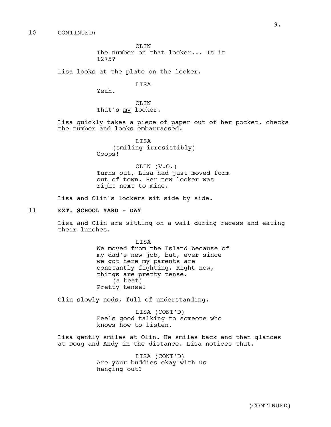OLTN The number on that locker... Is it 1275?

Lisa looks at the plate on the locker.

## **T.TSA**

Yeah.

OLIN That's my locker.

Lisa quickly takes a piece of paper out of her pocket, checks the number and looks embarrassed.

> LISA (smiling irresistibly) Ooops!

OLIN (V.O.) Turns out, Lisa had just moved form out of town. Her new locker was right next to mine.

Lisa and Olin's lockers sit side by side.

## 11 **EXT. SCHOOL YARD - DAY**

Lisa and Olin are sitting on a wall during recess and eating their lunches.

> LISA We moved from the Island because of my dad's new job, but, ever since we got here my parents are constantly fighting. Right now, things are pretty tense. (a beat) Pretty tense!

Olin slowly nods, full of understanding.

LISA (CONT'D) Feels good talking to someone who knows how to listen.

Lisa gently smiles at Olin. He smiles back and then glances at Doug and Andy in the distance. Lisa notices that.

> LISA (CONT'D) Are your buddies okay with us hanging out?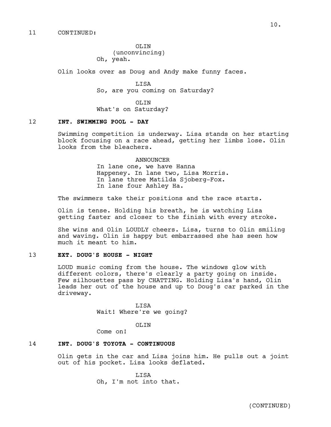OLIN (unconvincing) Oh, yeah.

Olin looks over as Doug and Andy make funny faces.

LISA So, are you coming on Saturday?

OLTN. What's on Saturday?

## 12 **INT. SWIMMING POOL - DAY**

Swimming competition is underway. Lisa stands on her starting block focusing on a race ahead, getting her limbs lose. Olin looks from the bleachers.

### **ANNOUNCER**

In lane one, we have Hanna Happeney. In lane two, Lisa Morris. In lane three Matilda Sjoberg-Fox. In lane four Ashley Ha.

The swimmers take their positions and the race starts.

Olin is tense. Holding his breath, he is watching Lisa getting faster and closer to the finish with every stroke.

She wins and Olin LOUDLY cheers. Lisa, turns to Olin smiling and waving. Olin is happy but embarrassed she has seen how much it meant to him.

## 13 **EXT. DOUG'S HOUSE - NIGHT**

LOUD music coming from the house. The windows glow with different colors, there's clearly a party going on inside. Few silhouettes pass by CHATTING. Holding Lisa's hand, Olin leads her out of the house and up to Doug's car parked in the driveway.

> LISA Wait! Where're we going?

#### OLTN.

Come on!

## 14 **INT. DOUG'S TOYOTA - CONTINUOUS**

Olin gets in the car and Lisa joins him. He pulls out a joint out of his pocket. Lisa looks deflated.

> LISA Oh, I'm not into that.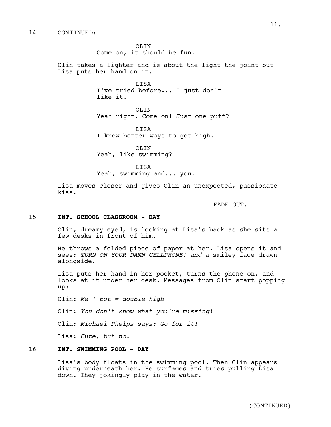OLTN. Come on, it should be fun.

Olin takes a lighter and is about the light the joint but Lisa puts her hand on it.

> LISA I've tried before... I just don't like it.

OLIN Yeah right. Come on! Just one puff?

LISA I know better ways to get high.

OLIN Yeah, like swimming?

LISA Yeah, swimming and... you.

Lisa moves closer and gives Olin an unexpected, passionate kiss.

FADE OUT.

#### 15 **INT. SCHOOL CLASSROOM - DAY**

Olin, dreamy-eyed, is looking at Lisa's back as she sits a few desks in front of him.

He throws a folded piece of paper at her. Lisa opens it and sees: *TURN ON YOUR DAMN CELLPHONE! and* a smiley face drawn alongside.

Lisa puts her hand in her pocket, turns the phone on, and looks at it under her desk. Messages from Olin start popping up:

Olin: *Me + pot = double high*

Olin: *You don't know what you're missing!*

Olin: *Michael Phelps says: Go for it!*

Lisa: *Cute, but no.*

## 16 **INT. SWIMMING POOL - DAY**

Lisa's body floats in the swimming pool. Then Olin appears diving underneath her. He surfaces and tries pulling Lisa down. They jokingly play in the water.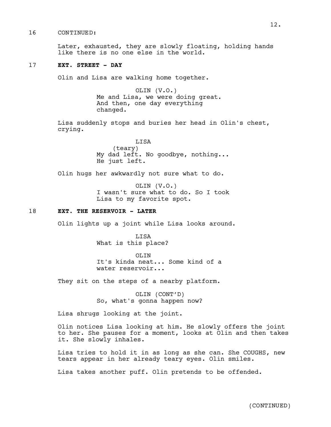#### 16 CONTINUED:

Later, exhausted, they are slowly floating, holding hands like there is no one else in the world.

## 17 **EXT. STREET - DAY**

Olin and Lisa are walking home together.

OLIN (V.O.) Me and Lisa, we were doing great. And then, one day everything changed.

Lisa suddenly stops and buries her head in Olin's chest, crying.

> LISA (teary) My dad left. No goodbye, nothing... He just left.

Olin hugs her awkwardly not sure what to do.

OLIN (V.O.) I wasn't sure what to do. So I took Lisa to my favorite spot.

## 18 **EXT. THE RESERVOIR - LATER**

Olin lights up a joint while Lisa looks around.

LISA What is this place?

OLIN It's kinda neat... Some kind of a water reservoir...

They sit on the steps of a nearby platform.

OLIN (CONT'D) So, what's gonna happen now?

Lisa shrugs looking at the joint.

Olin notices Lisa looking at him. He slowly offers the joint to her. She pauses for a moment, looks at Olin and then takes it. She slowly inhales.

Lisa tries to hold it in as long as she can. She COUGHS, new tears appear in her already teary eyes. Olin smiles.

Lisa takes another puff. Olin pretends to be offended.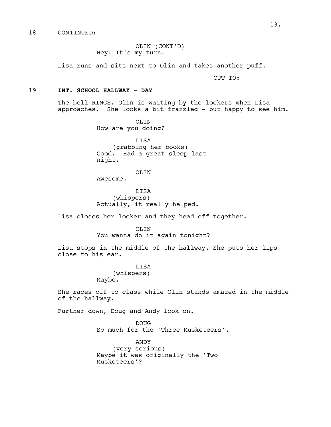OLIN (CONT'D) Hey! It's my turn!

Lisa runs and sits next to Olin and takes another puff.

CUT TO:

## 19 **INT. SCHOOL HALLWAY - DAY**

The bell RINGS. Olin is waiting by the lockers when Lisa approaches. She looks a bit frazzled - but happy to see him.

> OLIN How are you doing?

LISA (grabbing her books) Good. Had a great sleep last night.

OLIN

Awesome.

LISA (whispers) Actually, it really helped.

Lisa closes her locker and they head off together.

OLIN

You wanna do it again tonight?

Lisa stops in the middle of the hallway. She puts her lips close to his ear.

> **T.TSA** (whispers) Maybe.

She races off to class while Olin stands amazed in the middle of the hallway.

Further down, Doug and Andy look on.

DOUG So much for the 'Three Musketeers'.

ANDY (very serious) Maybe it was originally the 'Two Musketeers'?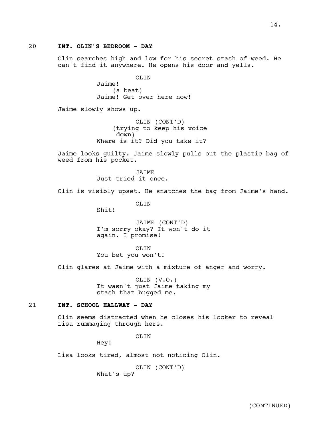Olin searches high and low for his secret stash of weed. He can't find it anywhere. He opens his door and yells.

> OLIN Jaime! (a beat) Jaime! Get over here now!

Jaime slowly shows up.

OLIN (CONT'D) (trying to keep his voice down) Where is it? Did you take it?

Jaime looks guilty. Jaime slowly pulls out the plastic bag of weed from his pocket.

> JAIME Just tried it once.

Olin is visibly upset. He snatches the bag from Jaime's hand.

OLIN

Shit!

JAIME (CONT'D) I'm sorry okay? It won't do it again. I promise!

OLIN You bet you won't!

Olin glares at Jaime with a mixture of anger and worry.

OLIN (V.O.) It wasn't just Jaime taking my stash that bugged me.

## 21 **INT. SCHOOL HALLWAY - DAY**

Olin seems distracted when he closes his locker to reveal Lisa rummaging through hers.

OLIN

Hey!

Lisa looks tired, almost not noticing Olin.

OLIN (CONT'D) What's up?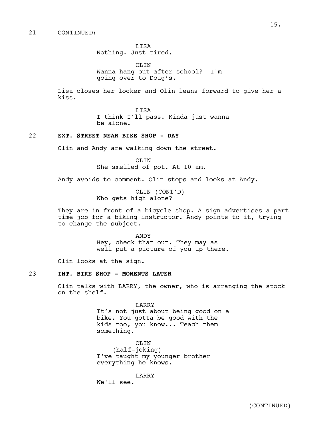LISA Nothing. Just tired.

OLIN Wanna hang out after school? I'm going over to Doug's.

Lisa closes her locker and Olin leans forward to give her a kiss.

> LISA I think I'll pass. Kinda just wanna be alone.

### 22 **EXT. STREET NEAR BIKE SHOP - DAY**

Olin and Andy are walking down the street.

OLIN She smelled of pot. At 10 am.

Andy avoids to comment. Olin stops and looks at Andy.

OLIN (CONT'D) Who gets high alone?

They are in front of a bicycle shop. A sign advertises a parttime job for a biking instructor. Andy points to it, trying to change the subject.

> ANDY Hey, check that out. They may as well put a picture of you up there.

Olin looks at the sign.

## 23 **INT. BIKE SHOP - MOMENTS LATER**

Olin talks with LARRY, the owner, who is arranging the stock on the shelf.

> LARRY It's not just about being good on a bike. You gotta be good with the kids too, you know... Teach them something.

OLIN (half-joking) I've taught my younger brother everything he knows.

LARRY We'll see.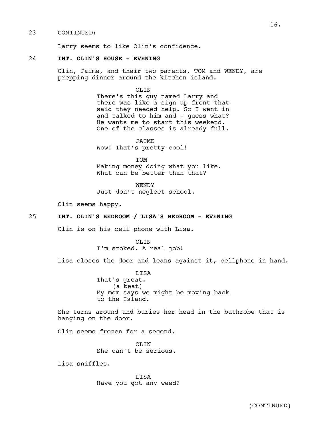#### 23 CONTINUED:

Larry seems to like Olin's confidence.

#### 24 **INT. OLIN'S HOUSE - EVENING**

Olin, Jaime, and their two parents, TOM and WENDY, are prepping dinner around the kitchen island.

OLIN

There's this guy named Larry and there was like a sign up front that said they needed help. So I went in and talked to him and - guess what? He wants me to start this weekend. One of the classes is already full.

JAIME Wow! That's pretty cool!

TOM Making money doing what you like. What can be better than that?

WENDY Just don't neglect school.

Olin seems happy.

## 25 **INT. OLIN'S BEDROOM / LISA'S BEDROOM - EVENING**

Olin is on his cell phone with Lisa.

OLIN I'm stoked. A real job!

Lisa closes the door and leans against it, cellphone in hand.

LISA That's great. (a beat) My mom says we might be moving back to the Island.

She turns around and buries her head in the bathrobe that is hanging on the door.

Olin seems frozen for a second.

OLIN She can't be serious.

Lisa sniffles.

LISA Have you got any weed?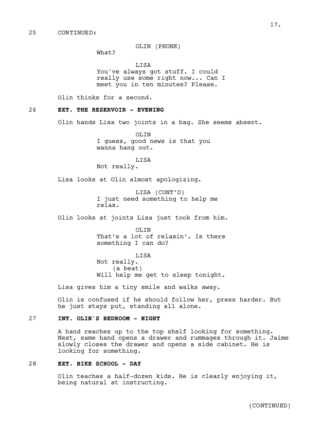#### 25 CONTINUED:

OLIN (PHONE)

What?

LISA You've always got stuff. I could really use some right now... Can I meet you in ten minutes? Please.

Olin thinks for a second.

#### 26 **EXT. THE RESERVOIR - EVENING**

Olin hands Lisa two joints in a bag. She seems absent.

OLIN I guess, good news is that you wanna hang out.

LISA Not really.

Lisa looks at Olin almost apologizing.

LISA (CONT'D) I just need something to help me relax.

Olin looks at joints Lisa just took from him.

OLIN That's a lot of relaxin'. Is there something I can do?

LISA Not really. (a beat) Will help me get to sleep tonight.

Lisa gives him a tiny smile and walks away.

Olin is confused if he should follow her, press harder. But he just stays put, standing all alone.

## 27 **INT. OLIN'S BEDROOM - NIGHT**

A hand reaches up to the top shelf looking for something. Next, same hand opens a drawer and rummages through it. Jaime slowly closes the drawer and opens a side cabinet. He is looking for something.

## 28 **EXT. BIKE SCHOOL - DAY**

Olin teaches a half-dozen kids. He is clearly enjoying it, being natural at instructing.

17.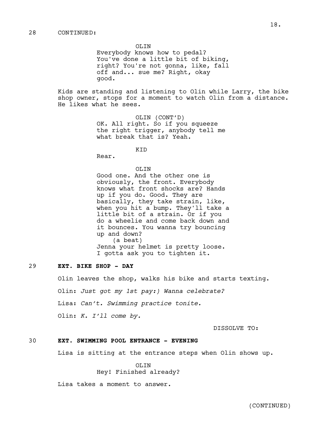OLIN Everybody knows how to pedal? You've done a little bit of biking, right? You're not gonna, like, fall off and... sue me? Right, okay good.

Kids are standing and listening to Olin while Larry, the bike shop owner, stops for a moment to watch Olin from a distance. He likes what he sees.

> OLIN (CONT'D) OK. All right. So if you squeeze the right trigger, anybody tell me what break that is? Yeah.

> > **KTD**

Rear.

OLIN Good one. And the other one is obviously, the front. Everybody knows what front shocks are? Hands up if you do. Good. They are basically, they take strain, like, when you hit a bump. They'll take a little bit of a strain. Or if you do a wheelie and come back down and it bounces. You wanna try bouncing up and down? (a beat) Jenna your helmet is pretty loose. I gotta ask you to tighten it.

## 29 **EXT. BIKE SHOP - DAY**

Olin leaves the shop, walks his bike and starts texting. Olin: *Just got my 1st pay:) Wanna celebrate?* Lisa: *Can't. Swimming practice tonite.* Olin: *K. I'll come by.*

DISSOLVE TO:

## 30 **EXT. SWIMMING POOL ENTRANCE - EVENING**

Lisa is sitting at the entrance steps when Olin shows up.

OLIN Hey! Finished already?

Lisa takes a moment to answer.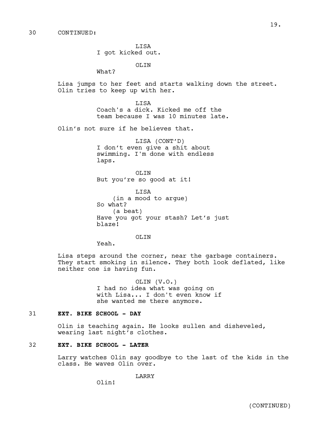LISA I got kicked out.

OLIN

What?

Lisa jumps to her feet and starts walking down the street. Olin tries to keep up with her.

> LISA Coach's a dick. Kicked me off the team because I was 10 minutes late.

Olin's not sure if he believes that.

LISA (CONT'D) I don't even give a shit about swimming. I'm done with endless laps.

OLIN But you're so good at it!

LISA (in a mood to argue) So what? (a beat) Have you got your stash? Let's just blaze!

OLIN

Yeah.

Lisa steps around the corner, near the garbage containers. They start smoking in silence. They both look deflated, like neither one is having fun.

> OLIN (V.O.) I had no idea what was going on with Lisa... I don't even know if she wanted me there anymore.

## 31 **EXT. BIKE SCHOOL - DAY**

Olin is teaching again. He looks sullen and disheveled, wearing last night's clothes.

## 32 **EXT. BIKE SCHOOL - LATER**

Larry watches Olin say goodbye to the last of the kids in the class. He waves Olin over.

**LARRY** 

Olin!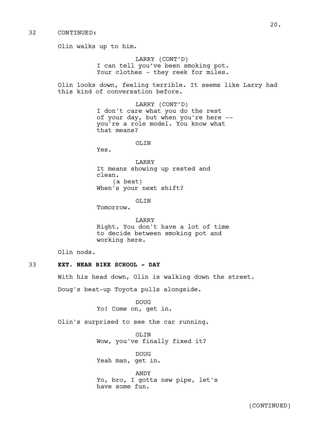Olin walks up to him. LARRY (CONT'D) I can tell you've been smoking pot. Your clothes - they reek for miles. Olin looks down, feeling terrible. It seems like Larry had this kind of conversation before. LARRY (CONT'D) I don't care what you do the rest of your day, but when you're here - you're a role model. You know what that means? OLIN Yes. LARRY It means showing up rested and clean. (a beat) When's your next shift? OLIN Tomorrow. LARRY Right. You don't have a lot of time to decide between smoking pot and working here. Olin nods. 33 **EXT. NEAR BIKE SCHOOL - DAY** With his head down, Olin is walking down the street. Doug's beat-up Toyota pulls alongside. DOUG Yo! Come on, get in. Olin's surprised to see the car running. OLIN Wow, you've finally fixed it?

> DOUG Yeah man, get in.

ANDY Yo, bro, I gotta new pipe, let's have some fun.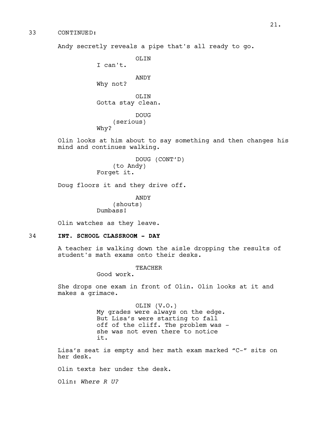Andy secretly reveals a pipe that's all ready to go.

OLTN

I can't.

ANDY

Why not?

OLIN Gotta stay clean.

DOUG (serious) Why?

Olin looks at him about to say something and then changes his mind and continues walking.

> DOUG (CONT'D) (to Andy) Forget it.

Doug floors it and they drive off.

ANDY (shouts) Dumbass!

Olin watches as they leave.

#### 34 **INT. SCHOOL CLASSROOM - DAY**

A teacher is walking down the aisle dropping the results of student's math exams onto their desks.

TEACHER

Good work.

She drops one exam in front of Olin. Olin looks at it and makes a grimace.

> OLIN (V.O.) My grades were always on the edge. But Lisa's were starting to fall off of the cliff. The problem was she was not even there to notice it.

Lisa's seat is empty and her math exam marked "C-" sits on her desk.

Olin texts her under the desk.

Olin: *Where R U?*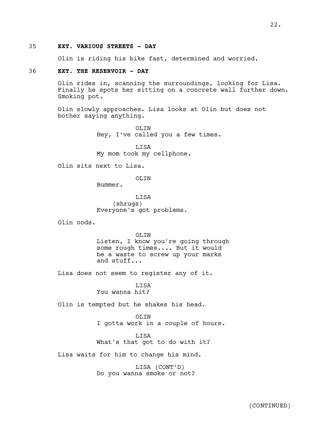#### 35 **EXT. VARIOUS STREETS - DAY**

Olin is riding his bike fast, determined and worried.

## 36 **EXT. THE RESERVOIR - DAY**

Olin rides in, scanning the surroundings, looking for Lisa. Finally he spots her sitting on a concrete wall further down. Smoking pot.

Olin slowly approaches. Lisa looks at Olin but does not bother saying anything.

> OLIN Hey, I've called you a few times.

LISA My mom took my cellphone.

Olin sits next to Lisa.

OLTN

Bummer.

**T.TSA** (shrugs) Everyone's got problems.

Olin nods.

OLIN Listen, I know you're going through some rough times.... But it would be a waste to screw up your marks and stuff...

Lisa does not seem to register any of it.

LISA You wanna hit?

Olin is tempted but he shakes his head.

#### OLIN

I gotta work in a couple of hours.

#### LISA

What's that got to do with it?

Lisa waits for him to change his mind.

LISA (CONT'D) Do you wanna smoke or not?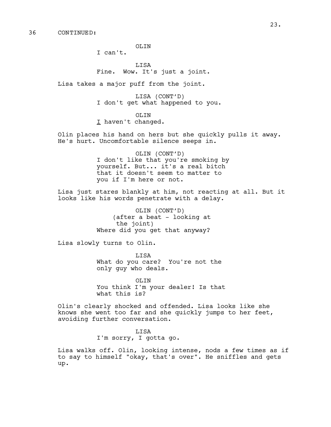OLIN

I can't.

LISA Fine. Wow. It's just a joint.

Lisa takes a major puff from the joint.

LISA (CONT'D) I don't get what happened to you.

OLIN I haven't changed.

Olin places his hand on hers but she quickly pulls it away. He's hurt. Uncomfortable silence seeps in.

> OLIN (CONT'D) I don't like that you're smoking by yourself. But... it's a real bitch that it doesn't seem to matter to you if I'm here or not.

Lisa just stares blankly at him, not reacting at all. But it looks like his words penetrate with a delay.

> OLIN (CONT'D) (after a beat - looking at the joint) Where did you get that anyway?

Lisa slowly turns to Olin.

LISA What do you care? You're not the only guy who deals.

OLIN You think I'm your dealer! Is that what this is?

Olin's clearly shocked and offended. Lisa looks like she knows she went too far and she quickly jumps to her feet, avoiding further conversation.

> LISA I'm sorry, I gotta go.

Lisa walks off. Olin, looking intense, nods a few times as if to say to himself "okay, that's over". He sniffles and gets up.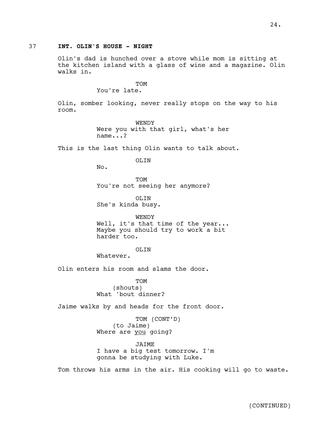## 37 **INT. OLIN'S HOUSE - NIGHT**

Olin's dad is hunched over a stove while mom is sitting at the kitchen island with a glass of wine and a magazine. Olin walks in.

TOM

You're late.

Olin, somber looking, never really stops on the way to his room.

> WENDY Were you with that girl, what's her name...?

This is the last thing Olin wants to talk about.

OLIN

No.

TOM You're not seeing her anymore?

OLIN She's kinda busy.

WENDY Well, it's that time of the year... Maybe you should try to work a bit harder too.

OLIN

Whatever.

Olin enters his room and slams the door.

TOM (shouts) What 'bout dinner?

Jaime walks by and heads for the front door.

TOM (CONT'D) (to Jaime) Where are you going?

JAIME I have a big test tomorrow. I'm gonna be studying with Luke.

Tom throws his arms in the air. His cooking will go to waste.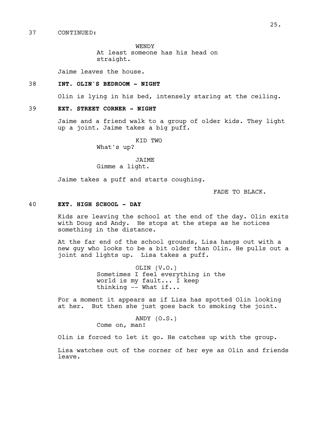WENDY At least someone has his head on straight.

Jaime leaves the house.

## 38 **INT. OLIN'S BEDROOM - NIGHT**

Olin is lying in his bed, intensely staring at the ceiling.

## 39 **EXT. STREET CORNER - NIGHT**

Jaime and a friend walk to a group of older kids. They light up a joint. Jaime takes a big puff.

KID TWO

What's up?

JAIME Gimme a light.

Jaime takes a puff and starts coughing.

FADE TO BLACK.

## 40 **EXT. HIGH SCHOOL - DAY**

Kids are leaving the school at the end of the day. Olin exits with Doug and Andy. He stops at the steps as he notices something in the distance.

At the far end of the school grounds, Lisa hangs out with a new guy who looks to be a bit older than Olin. He pulls out a joint and lights up. Lisa takes a puff.

> OLIN (V.O.) Sometimes I feel everything in the world is my fault... I keep thinking  $-$  What if...

For a moment it appears as if Lisa has spotted Olin looking at her. But then she just goes back to smoking the joint.

> ANDY (O.S.) Come on, man!

Olin is forced to let it go. He catches up with the group.

Lisa watches out of the corner of her eye as Olin and friends leave.